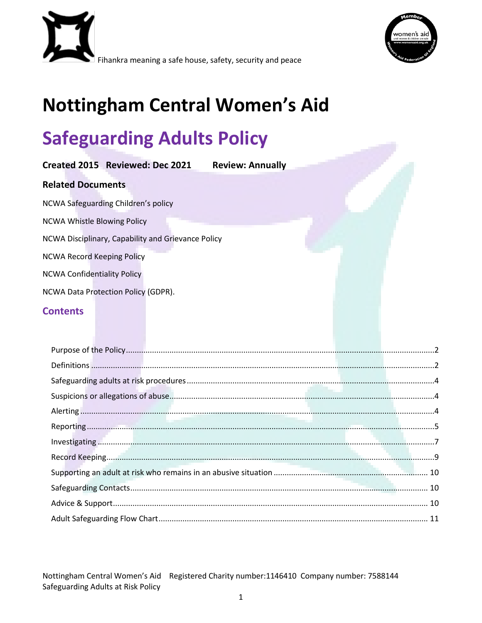



# **Nottingham Central Women's Aid**

# **Safeguarding Adults Policy**

| Created 2015 Reviewed: Dec 2021                    | <b>Review: Annually</b> |  |
|----------------------------------------------------|-------------------------|--|
| <b>Related Documents</b>                           |                         |  |
| NCWA Safeguarding Children's policy                |                         |  |
| <b>NCWA Whistle Blowing Policy</b>                 |                         |  |
| NCWA Disciplinary, Capability and Grievance Policy |                         |  |
| <b>NCWA Record Keeping Policy</b>                  |                         |  |
| <b>NCWA Confidentiality Policy</b>                 |                         |  |
| NCWA Data Protection Policy (GDPR).                |                         |  |
| <b>Contents</b>                                    |                         |  |
|                                                    |                         |  |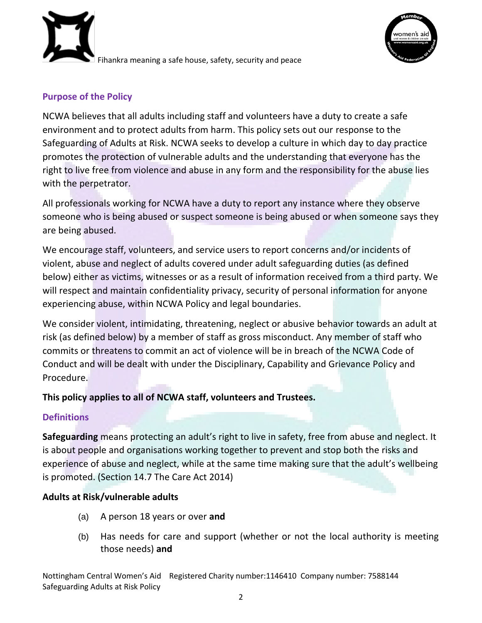



# <span id="page-1-0"></span>**Purpose of the Policy**

NCWA believes that all adults including staff and volunteers have a duty to create a safe environment and to protect adults from harm. This policy sets out our response to the Safeguarding of Adults at Risk. NCWA seeks to develop a culture in which day to day practice promotes the protection of vulnerable adults and the understanding that everyone has the right to live free from violence and abuse in any form and the responsibility for the abuse lies with the perpetrator.

All professionals working for NCWA have a duty to report any instance where they observe someone who is being abused or suspect someone is being abused or when someone says they are being abused.

We encourage staff, volunteers, and service users to report concerns and/or incidents of violent, abuse and neglect of adults covered under adult safeguarding duties (as defined below) either as victims, witnesses or as a result of information received from a third party. We will respect and maintain confidentiality privacy, security of personal information for anyone experiencing abuse, within NCWA Policy and legal boundaries.

We consider violent, intimidating, threatening, neglect or abusive behavior towards an adult at risk (as defined below) by a member of staff as gross misconduct. Any member of staff who commits or threatens to commit an act of violence will be in breach of the NCWA Code of Conduct and will be dealt with under the Disciplinary, Capability and Grievance Policy and Procedure.

# **This policy applies to all of NCWA staff, volunteers and Trustees.**

# <span id="page-1-1"></span>**Definitions**

**Safeguarding** means protecting an adult's right to live in safety, free from abuse and neglect. It is about people and organisations working together to prevent and stop both the risks and experience of abuse and neglect, while at the same time making sure that the adult's wellbeing is promoted. (Section 14.7 The Care Act 2014)

# **Adults at Risk/vulnerable adults**

- (a) A person 18 years or over **and**
- (b) Has needs for care and support (whether or not the local authority is meeting those needs) **and**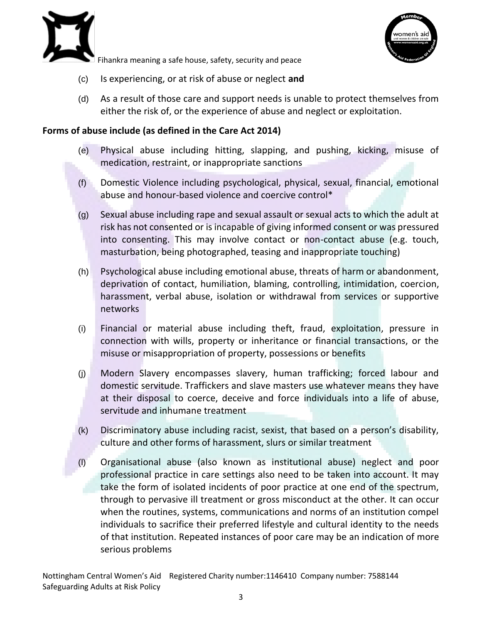



- (c) Is experiencing, or at risk of abuse or neglect **and**
- (d) As a result of those care and support needs is unable to protect themselves from either the risk of, or the experience of abuse and neglect or exploitation.

#### **Forms of abuse include (as defined in the Care Act 2014)**

- (e) Physical abuse including hitting, slapping, and pushing, kicking, misuse of medication, restraint, or inappropriate sanctions
- (f) Domestic Violence including psychological, physical, sexual, financial, emotional abuse and honour-based violence and coercive control\*
- (g) Sexual abuse including rape and sexual assault or sexual acts to which the adult at risk has not consented or is incapable of giving informed consent or was pressured into consenting. This may involve contact or non-contact abuse (e.g. touch, masturbation, being photographed, teasing and inappropriate touching)
- (h) Psychological abuse including emotional abuse, threats of harm or abandonment, deprivation of contact, humiliation, blaming, controlling, intimidation, coercion, harassment, verbal abuse, isolation or withdrawal from services or supportive networks
- (i) Financial or material abuse including theft, fraud, exploitation, pressure in connection with wills, property or inheritance or financial transactions, or the misuse or misappropriation of property, possessions or benefits
- (j) Modern Slavery encompasses slavery, human trafficking; forced labour and domestic servitude. Traffickers and slave masters use whatever means they have at their disposal to coerce, deceive and force individuals into a life of abuse, servitude and inhumane treatment
- (k) Discriminatory abuse including racist, sexist, that based on a person's disability, culture and other forms of harassment, slurs or similar treatment
- (l) Organisational abuse (also known as institutional abuse) neglect and poor professional practice in care settings also need to be taken into account. It may take the form of isolated incidents of poor practice at one end of the spectrum, through to pervasive ill treatment or gross misconduct at the other. It can occur when the routines, systems, communications and norms of an institution compel individuals to sacrifice their preferred lifestyle and cultural identity to the needs of that institution. Repeated instances of poor care may be an indication of more serious problems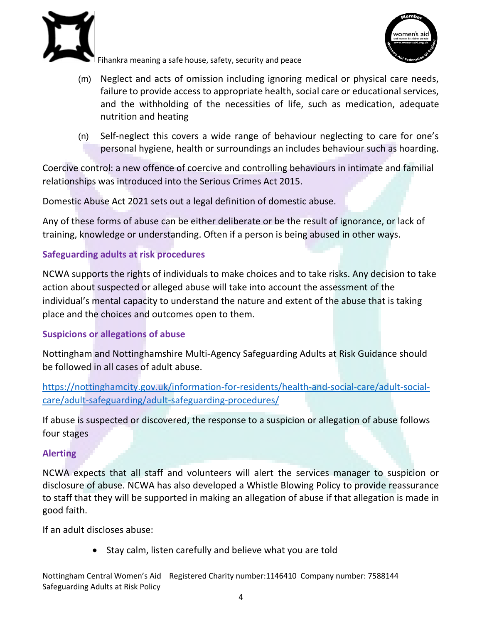



- (m) Neglect and acts of omission including ignoring medical or physical care needs, failure to provide access to appropriate health, social care or educational services, and the withholding of the necessities of life, such as medication, adequate nutrition and heating
- (n) Self-neglect this covers a wide range of behaviour neglecting to care for one's personal hygiene, health or surroundings an includes behaviour such as hoarding.

Coercive control: a new offence of coercive and controlling behaviours in intimate and familial relationships was introduced into the Serious Crimes Act 2015.

Domestic Abuse Act 2021 sets out a legal definition of domestic abuse.

Any of these forms of abuse can be either deliberate or be the result of ignorance, or lack of training, knowledge or understanding. Often if a person is being abused in other ways.

# <span id="page-3-0"></span>**Safeguarding adults at risk procedures**

NCWA supports the rights of individuals to make choices and to take risks. Any decision to take action about suspected or alleged abuse will take into account the assessment of the individual's mental capacity to understand the nature and extent of the abuse that is taking place and the choices and outcomes open to them.

# <span id="page-3-1"></span>**Suspicions or allegations of abuse**

Nottingham and Nottinghamshire Multi-Agency Safeguarding Adults at Risk Guidance should be followed in all cases of adult abuse.

[https://nottinghamcity.gov.uk/information-for-residents/health-and-social-care/adult-social](https://nottinghamcity.gov.uk/information-for-residents/health-and-social-care/adult-social-care/adult-safeguarding/adult-safeguarding-procedures/)[care/adult-safeguarding/adult-safeguarding-procedures/](https://nottinghamcity.gov.uk/information-for-residents/health-and-social-care/adult-social-care/adult-safeguarding/adult-safeguarding-procedures/)

If abuse is suspected or discovered, the response to a suspicion or allegation of abuse follows four stages

# <span id="page-3-2"></span>**Alerting**

NCWA expects that all staff and volunteers will alert the services manager to suspicion or disclosure of abuse. NCWA has also developed a Whistle Blowing Policy to provide reassurance to staff that they will be supported in making an allegation of abuse if that allegation is made in good faith.

If an adult discloses abuse:

• Stay calm, listen carefully and believe what you are told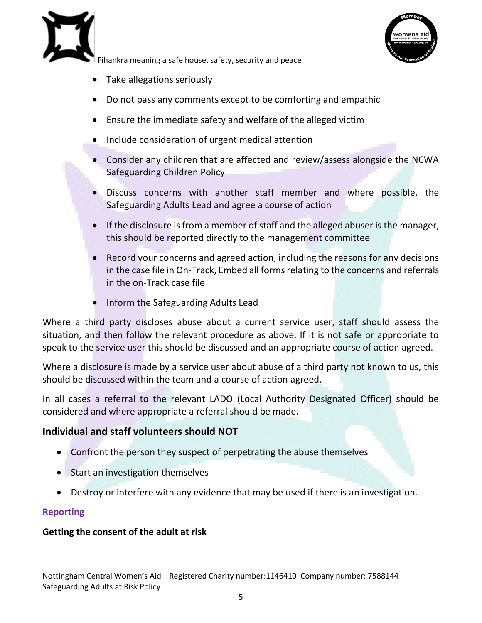



- Take allegations seriously
- Do not pass any comments except to be comforting and empathic
- Ensure the immediate safety and welfare of the alleged victim
- Include consideration of urgent medical attention
- Consider any children that are affected and review/assess alongside the NCWA Safeguarding Children Policy
- Discuss concerns with another staff member and where possible, the Safeguarding Adults Lead and agree a course of action
- If the disclosure is from a member of staff and the alleged abuser is the manager, this should be reported directly to the management committee
- Record your concerns and agreed action, including the reasons for any decisions in the case file in On-Track, Embed all forms relating to the concerns and referrals in the on-Track case file
- Inform the Safeguarding Adults Lead

Where a third party discloses abuse about a current service user, staff should assess the situation, and then follow the relevant procedure as above. If it is not safe or appropriate to speak to the service user this should be discussed and an appropriate course of action agreed.

Where a disclosure is made by a service user about abuse of a third party not known to us, this should be discussed within the team and a course of action agreed.

In all cases a referral to the relevant LADO (Local Authority Designated Officer) should be considered and where appropriate a referral should be made.

### **Individual and staff volunteers should NOT**

- Confront the person they suspect of perpetrating the abuse themselves
- Start an investigation themselves
- Destroy or interfere with any evidence that may be used if there is an investigation.

### <span id="page-4-0"></span>**Reporting**

#### **Getting the consent of the adult at risk**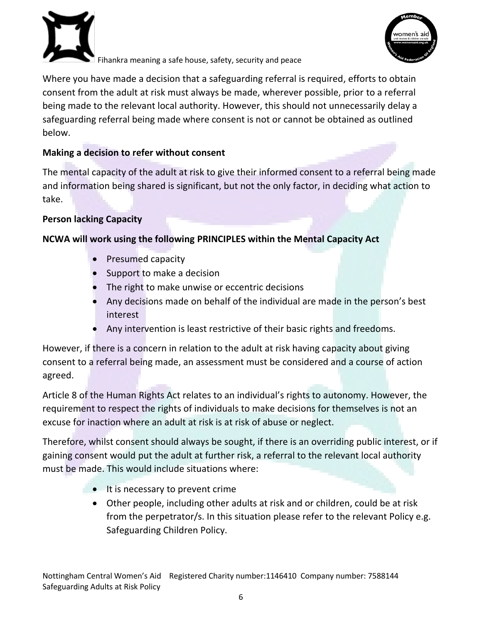



Where you have made a decision that a safeguarding referral is required, efforts to obtain consent from the adult at risk must always be made, wherever possible, prior to a referral being made to the relevant local authority. However, this should not unnecessarily delay a safeguarding referral being made where consent is not or cannot be obtained as outlined below.

# **Making a decision to refer without consent**

The mental capacity of the adult at risk to give their informed consent to a referral being made and information being shared is significant, but not the only factor, in deciding what action to take.

# **Person lacking Capacity**

# **NCWA will work using the following PRINCIPLES within the Mental Capacity Act**

- Presumed capacity
- Support to make a decision
- The right to make unwise or eccentric decisions
- Any decisions made on behalf of the individual are made in the person's best interest
- Any intervention is least restrictive of their basic rights and freedoms.

However, if there is a concern in relation to the adult at risk having capacity about giving consent to a referral being made, an assessment must be considered and a course of action agreed.

Article 8 of the Human Rights Act relates to an individual's rights to autonomy. However, the requirement to respect the rights of individuals to make decisions for themselves is not an excuse for inaction where an adult at risk is at risk of abuse or neglect.

Therefore, whilst consent should always be sought, if there is an overriding public interest, or if gaining consent would put the adult at further risk, a referral to the relevant local authority must be made. This would include situations where:

- $\bullet$  It is necessary to prevent crime
	- Other people, including other adults at risk and or children, could be at risk from the perpetrator/s. In this situation please refer to the relevant Policy e.g. Safeguarding Children Policy.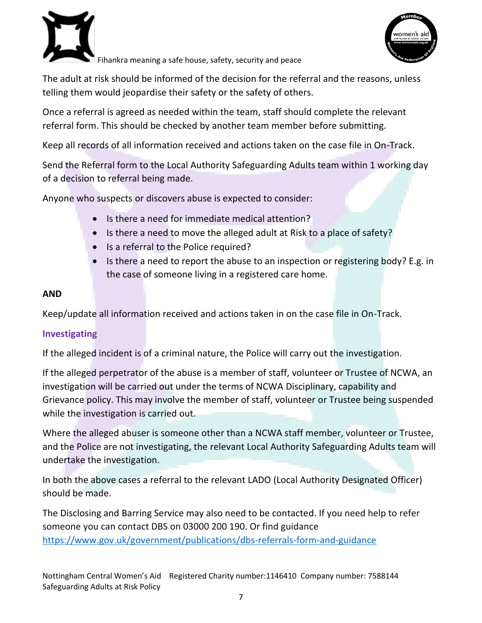



The adult at risk should be informed of the decision for the referral and the reasons, unless telling them would jeopardise their safety or the safety of others.

Once a referral is agreed as needed within the team, staff should complete the relevant referral form. This should be checked by another team member before submitting.

Keep all records of all information received and actions taken on the case file in On-Track.

Send the Referral form to the Local Authority Safeguarding Adults team within 1 working day of a decision to referral being made.

Anyone who suspects or discovers abuse is expected to consider:

- Is there a need for immediate medical attention?
- Is there a need to move the alleged adult at Risk to a place of safety?
- Is a referral to the Police required?
- Is there a need to report the abuse to an inspection or registering body? E.g. in the case of someone living in a registered care home.

# **AND**

Keep/update all information received and actions taken in on the case file in On-Track.

# <span id="page-6-0"></span>**Investigating**

If the alleged incident is of a criminal nature, the Police will carry out the investigation.

If the alleged perpetrator of the abuse is a member of staff, volunteer or Trustee of NCWA, an investigation will be carried out under the terms of NCWA Disciplinary, capability and Grievance policy. This may involve the member of staff, volunteer or Trustee being suspended while the investigation is carried out.

Where the alleged abuser is someone other than a NCWA staff member, volunteer or Trustee, and the Police are not investigating, the relevant Local Authority Safeguarding Adults team will undertake the investigation.

In both the above cases a referral to the relevant LADO (Local Authority Designated Officer) should be made.

The Disclosing and Barring Service may also need to be contacted. If you need help to refer someone you can contact DBS on 03000 200 190. Or find guidance <https://www.gov.uk/government/publications/dbs-referrals-form-and-guidance>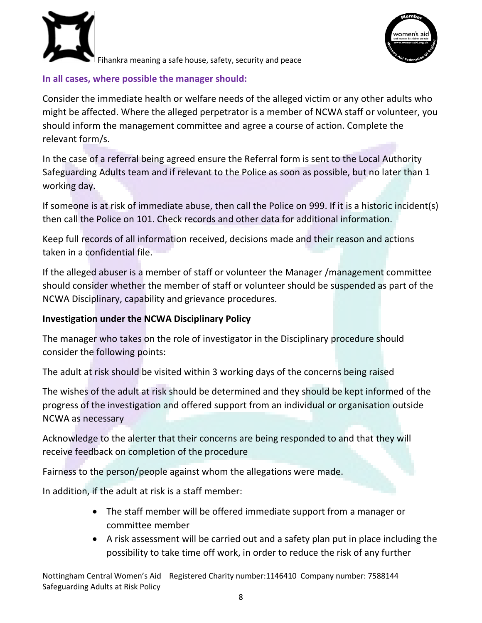



### **In all cases, where possible the manager should:**

Consider the immediate health or welfare needs of the alleged victim or any other adults who might be affected. Where the alleged perpetrator is a member of NCWA staff or volunteer, you should inform the management committee and agree a course of action. Complete the relevant form/s.

In the case of a referral being agreed ensure the Referral form is sent to the Local Authority Safeguarding Adults team and if relevant to the Police as soon as possible, but no later than 1 working day.

If someone is at risk of immediate abuse, then call the Police on 999. If it is a historic incident(s) then call the Police on 101. Check records and other data for additional information.

Keep full records of all information received, decisions made and their reason and actions taken in a confidential file.

If the alleged abuser is a member of staff or volunteer the Manager /management committee should consider whether the member of staff or volunteer should be suspended as part of the NCWA Disciplinary, capability and grievance procedures.

# **Investigation under the NCWA Disciplinary Policy**

The manager who takes on the role of investigator in the Disciplinary procedure should consider the following points:

The adult at risk should be visited within 3 working days of the concerns being raised

The wishes of the adult at risk should be determined and they should be kept informed of the progress of the investigation and offered support from an individual or organisation outside NCWA as necessary

Acknowledge to the alerter that their concerns are being responded to and that they will receive feedback on completion of the procedure

Fairness to the person/people against whom the allegations were made.

In addition, if the adult at risk is a staff member:

- The staff member will be offered immediate support from a manager or committee member
- A risk assessment will be carried out and a safety plan put in place including the possibility to take time off work, in order to reduce the risk of any further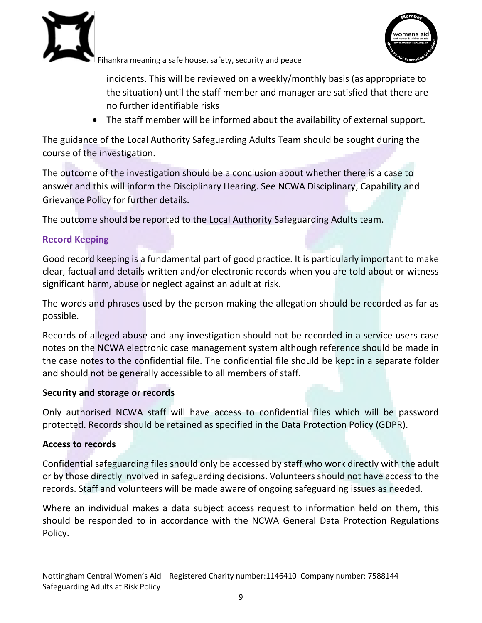



incidents. This will be reviewed on a weekly/monthly basis (as appropriate to the situation) until the staff member and manager are satisfied that there are no further identifiable risks

The staff member will be informed about the availability of external support.

The guidance of the Local Authority Safeguarding Adults Team should be sought during the course of the investigation.

The outcome of the investigation should be a conclusion about whether there is a case to answer and this will inform the Disciplinary Hearing. See NCWA Disciplinary, Capability and Grievance Policy for further details.

The outcome should be reported to the Local Authority Safeguarding Adults team.

# <span id="page-8-0"></span>**Record Keeping**

Good record keeping is a fundamental part of good practice. It is particularly important to make clear, factual and details written and/or electronic records when you are told about or witness significant harm, abuse or neglect against an adult at risk.

The words and phrases used by the person making the allegation should be recorded as far as possible.

Records of alleged abuse and any investigation should not be recorded in a service users case notes on the NCWA electronic case management system although reference should be made in the case notes to the confidential file. The confidential file should be kept in a separate folder and should not be generally accessible to all members of staff.

### **Security and storage or records**

Only authorised NCWA staff will have access to confidential files which will be password protected. Records should be retained as specified in the Data Protection Policy (GDPR).

### **Access to records**

Confidential safeguarding files should only be accessed by staff who work directly with the adult or by those directly involved in safeguarding decisions. Volunteers should not have access to the records. Staff and volunteers will be made aware of ongoing safeguarding issues as needed.

Where an individual makes a data subject access request to information held on them, this should be responded to in accordance with the NCWA General Data Protection Regulations Policy.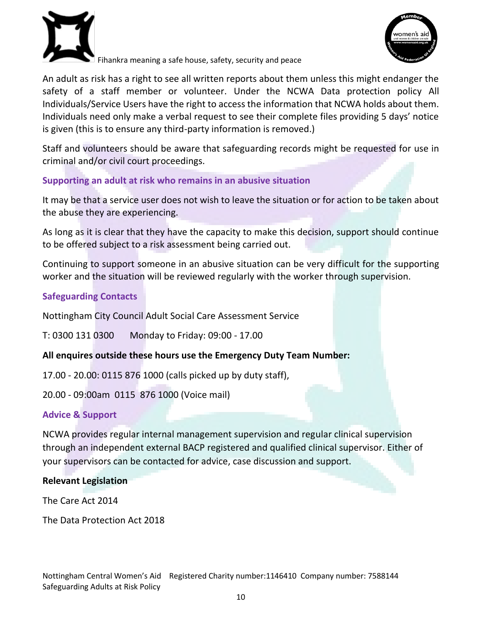

vomen's a

Fihankra meaning a safe house, safety, security and peace

An adult as risk has a right to see all written reports about them unless this might endanger the safety of a staff member or volunteer. Under the NCWA Data protection policy All Individuals/Service Users have the right to access the information that NCWA holds about them. Individuals need only make a verbal request to see their complete files providing 5 days' notice is given (this is to ensure any third-party information is removed.)

Staff and volunteers should be aware that safeguarding records might be requested for use in criminal and/or civil court proceedings.

# <span id="page-9-0"></span>**Supporting an adult at risk who remains in an abusive situation**

It may be that a service user does not wish to leave the situation or for action to be taken about the abuse they are experiencing.

As long as it is clear that they have the capacity to make this decision, support should continue to be offered subject to a risk assessment being carried out.

Continuing to support someone in an abusive situation can be very difficult for the supporting worker and the situation will be reviewed regularly with the worker through supervision.

# <span id="page-9-1"></span>**Safeguarding Contacts**

Nottingham City Council Adult Social Care Assessment Service

T: 0300 131 0300 Monday to Friday: 09:00 - 17.00

# **All enquires outside these hours use the Emergency Duty Team Number:**

17.00 - 20.00: 0115 876 1000 (calls picked up by duty staff),

20.00 - 09:00am 0115 876 1000 (Voice mail)

# <span id="page-9-2"></span>**Advice & Support**

NCWA provides regular internal management supervision and regular clinical supervision through an independent external BACP registered and qualified clinical supervisor. Either of your supervisors can be contacted for advice, case discussion and support.

### **Relevant Legislation**

The Care Act 2014

The Data Protection Act 2018